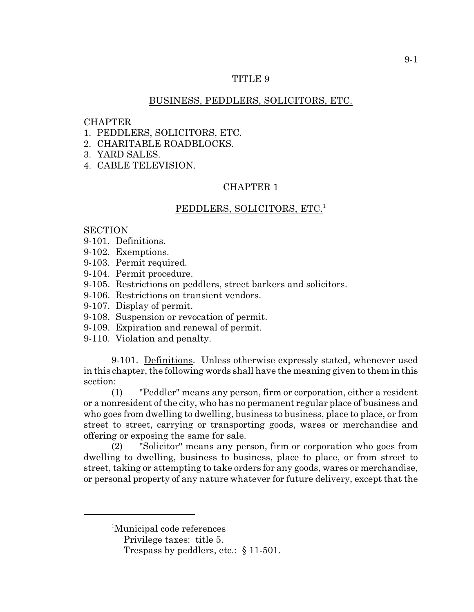# TITLE 9

# BUSINESS, PEDDLERS, SOLICITORS, ETC.

#### **CHAPTER**

- 1. PEDDLERS, SOLICITORS, ETC.
- 2. CHARITABLE ROADBLOCKS.
- 3. YARD SALES.
- 4. CABLE TELEVISION.

# CHAPTER 1

## PEDDLERS, SOLICITORS, ETC.<sup>1</sup>

# **SECTION**

- 9-101. Definitions.
- 9-102. Exemptions.
- 9-103. Permit required.
- 9-104. Permit procedure.
- 9-105. Restrictions on peddlers, street barkers and solicitors.
- 9-106. Restrictions on transient vendors.
- 9-107. Display of permit.
- 9-108. Suspension or revocation of permit.
- 9-109. Expiration and renewal of permit.
- 9-110. Violation and penalty.

9-101. Definitions. Unless otherwise expressly stated, whenever used in this chapter, the following words shall have the meaning given to them in this section:

(1) "Peddler" means any person, firm or corporation, either a resident or a nonresident of the city, who has no permanent regular place of business and who goes from dwelling to dwelling, business to business, place to place, or from street to street, carrying or transporting goods, wares or merchandise and offering or exposing the same for sale.

(2) "Solicitor" means any person, firm or corporation who goes from dwelling to dwelling, business to business, place to place, or from street to street, taking or attempting to take orders for any goods, wares or merchandise, or personal property of any nature whatever for future delivery, except that the

<sup>&</sup>lt;sup>1</sup>Municipal code references

Privilege taxes: title 5.

Trespass by peddlers, etc.: § 11-501.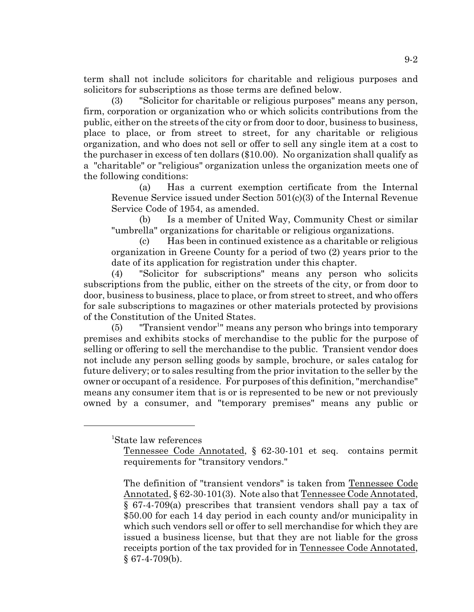term shall not include solicitors for charitable and religious purposes and solicitors for subscriptions as those terms are defined below.

(3) "Solicitor for charitable or religious purposes" means any person, firm, corporation or organization who or which solicits contributions from the public, either on the streets of the city or from door to door, business to business, place to place, or from street to street, for any charitable or religious organization, and who does not sell or offer to sell any single item at a cost to the purchaser in excess of ten dollars (\$10.00). No organization shall qualify as a "charitable" or "religious" organization unless the organization meets one of the following conditions:

(a) Has a current exemption certificate from the Internal Revenue Service issued under Section 501(c)(3) of the Internal Revenue Service Code of 1954, as amended.

(b) Is a member of United Way, Community Chest or similar "umbrella" organizations for charitable or religious organizations.

(c) Has been in continued existence as a charitable or religious organization in Greene County for a period of two (2) years prior to the date of its application for registration under this chapter.

(4) "Solicitor for subscriptions" means any person who solicits subscriptions from the public, either on the streets of the city, or from door to door, business to business, place to place, or from street to street, and who offers for sale subscriptions to magazines or other materials protected by provisions of the Constitution of the United States.

 $(5)$  "Transient vendor<sup>1</sup>" means any person who brings into temporary premises and exhibits stocks of merchandise to the public for the purpose of selling or offering to sell the merchandise to the public. Transient vendor does not include any person selling goods by sample, brochure, or sales catalog for future delivery; or to sales resulting from the prior invitation to the seller by the owner or occupant of a residence. For purposes of this definition, "merchandise" means any consumer item that is or is represented to be new or not previously owned by a consumer, and "temporary premises" means any public or

<sup>1</sup>State law references

Tennessee Code Annotated, § 62-30-101 et seq. contains permit requirements for "transitory vendors."

The definition of "transient vendors" is taken from Tennessee Code Annotated, § 62-30-101(3). Note also that Tennessee Code Annotated, § 67-4-709(a) prescribes that transient vendors shall pay a tax of \$50.00 for each 14 day period in each county and/or municipality in which such vendors sell or offer to sell merchandise for which they are issued a business license, but that they are not liable for the gross receipts portion of the tax provided for in Tennessee Code Annotated,  $§$  67-4-709(b).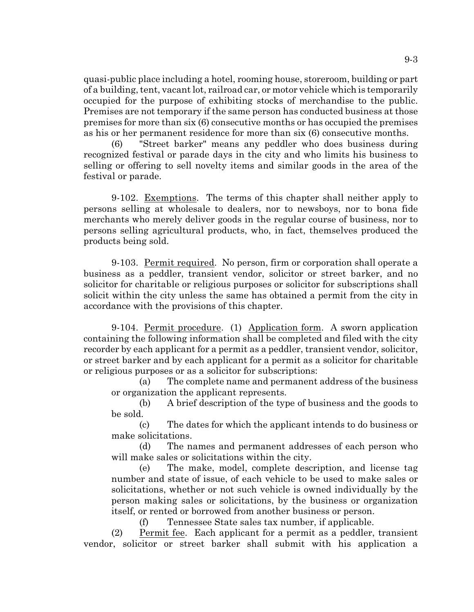quasi-public place including a hotel, rooming house, storeroom, building or part of a building, tent, vacant lot, railroad car, or motor vehicle which is temporarily occupied for the purpose of exhibiting stocks of merchandise to the public. Premises are not temporary if the same person has conducted business at those premises for more than six (6) consecutive months or has occupied the premises as his or her permanent residence for more than six (6) consecutive months.

(6) "Street barker" means any peddler who does business during recognized festival or parade days in the city and who limits his business to selling or offering to sell novelty items and similar goods in the area of the festival or parade.

9-102. Exemptions. The terms of this chapter shall neither apply to persons selling at wholesale to dealers, nor to newsboys, nor to bona fide merchants who merely deliver goods in the regular course of business, nor to persons selling agricultural products, who, in fact, themselves produced the products being sold.

9-103. Permit required. No person, firm or corporation shall operate a business as a peddler, transient vendor, solicitor or street barker, and no solicitor for charitable or religious purposes or solicitor for subscriptions shall solicit within the city unless the same has obtained a permit from the city in accordance with the provisions of this chapter.

9-104. Permit procedure. (1) Application form. A sworn application containing the following information shall be completed and filed with the city recorder by each applicant for a permit as a peddler, transient vendor, solicitor, or street barker and by each applicant for a permit as a solicitor for charitable or religious purposes or as a solicitor for subscriptions:

(a) The complete name and permanent address of the business or organization the applicant represents.

(b) A brief description of the type of business and the goods to be sold.

(c) The dates for which the applicant intends to do business or make solicitations.

(d) The names and permanent addresses of each person who will make sales or solicitations within the city.

(e) The make, model, complete description, and license tag number and state of issue, of each vehicle to be used to make sales or solicitations, whether or not such vehicle is owned individually by the person making sales or solicitations, by the business or organization itself, or rented or borrowed from another business or person.

(f) Tennessee State sales tax number, if applicable.

(2) Permit fee. Each applicant for a permit as a peddler, transient vendor, solicitor or street barker shall submit with his application a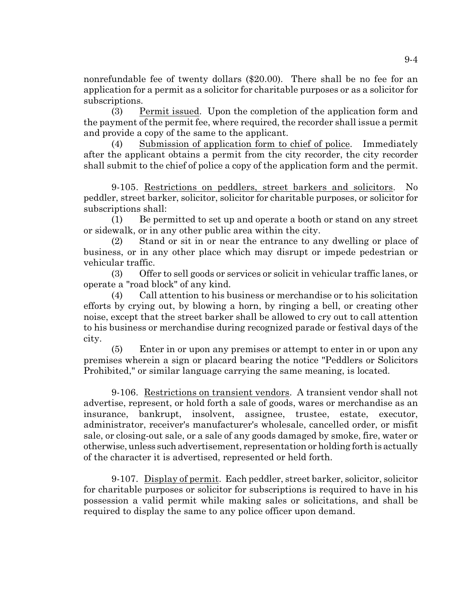nonrefundable fee of twenty dollars (\$20.00). There shall be no fee for an application for a permit as a solicitor for charitable purposes or as a solicitor for subscriptions.

(3) Permit issued. Upon the completion of the application form and the payment of the permit fee, where required, the recorder shall issue a permit and provide a copy of the same to the applicant.

(4) Submission of application form to chief of police. Immediately after the applicant obtains a permit from the city recorder, the city recorder shall submit to the chief of police a copy of the application form and the permit.

9-105. Restrictions on peddlers, street barkers and solicitors. No peddler, street barker, solicitor, solicitor for charitable purposes, or solicitor for subscriptions shall:

(1) Be permitted to set up and operate a booth or stand on any street or sidewalk, or in any other public area within the city.

(2) Stand or sit in or near the entrance to any dwelling or place of business, or in any other place which may disrupt or impede pedestrian or vehicular traffic.

(3) Offer to sell goods or services or solicit in vehicular traffic lanes, or operate a "road block" of any kind.

(4) Call attention to his business or merchandise or to his solicitation efforts by crying out, by blowing a horn, by ringing a bell, or creating other noise, except that the street barker shall be allowed to cry out to call attention to his business or merchandise during recognized parade or festival days of the city.

(5) Enter in or upon any premises or attempt to enter in or upon any premises wherein a sign or placard bearing the notice "Peddlers or Solicitors Prohibited," or similar language carrying the same meaning, is located.

9-106. Restrictions on transient vendors. A transient vendor shall not advertise, represent, or hold forth a sale of goods, wares or merchandise as an insurance, bankrupt, insolvent, assignee, trustee, estate, executor, administrator, receiver's manufacturer's wholesale, cancelled order, or misfit sale, or closing-out sale, or a sale of any goods damaged by smoke, fire, water or otherwise, unless such advertisement, representation or holding forth is actually of the character it is advertised, represented or held forth.

9-107. Display of permit. Each peddler, street barker, solicitor, solicitor for charitable purposes or solicitor for subscriptions is required to have in his possession a valid permit while making sales or solicitations, and shall be required to display the same to any police officer upon demand.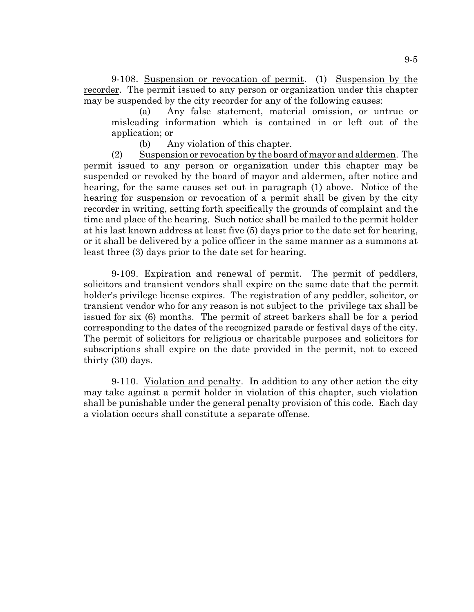9-108. Suspension or revocation of permit. (1) Suspension by the recorder. The permit issued to any person or organization under this chapter may be suspended by the city recorder for any of the following causes:

(a) Any false statement, material omission, or untrue or misleading information which is contained in or left out of the application; or

(b) Any violation of this chapter.

(2) Suspension or revocation by the board of mayor and aldermen. The permit issued to any person or organization under this chapter may be suspended or revoked by the board of mayor and aldermen, after notice and hearing, for the same causes set out in paragraph (1) above. Notice of the hearing for suspension or revocation of a permit shall be given by the city recorder in writing, setting forth specifically the grounds of complaint and the time and place of the hearing. Such notice shall be mailed to the permit holder at his last known address at least five (5) days prior to the date set for hearing, or it shall be delivered by a police officer in the same manner as a summons at least three (3) days prior to the date set for hearing.

9-109. Expiration and renewal of permit. The permit of peddlers, solicitors and transient vendors shall expire on the same date that the permit holder's privilege license expires. The registration of any peddler, solicitor, or transient vendor who for any reason is not subject to the privilege tax shall be issued for six (6) months. The permit of street barkers shall be for a period corresponding to the dates of the recognized parade or festival days of the city. The permit of solicitors for religious or charitable purposes and solicitors for subscriptions shall expire on the date provided in the permit, not to exceed thirty (30) days.

9-110. Violation and penalty. In addition to any other action the city may take against a permit holder in violation of this chapter, such violation shall be punishable under the general penalty provision of this code. Each day a violation occurs shall constitute a separate offense.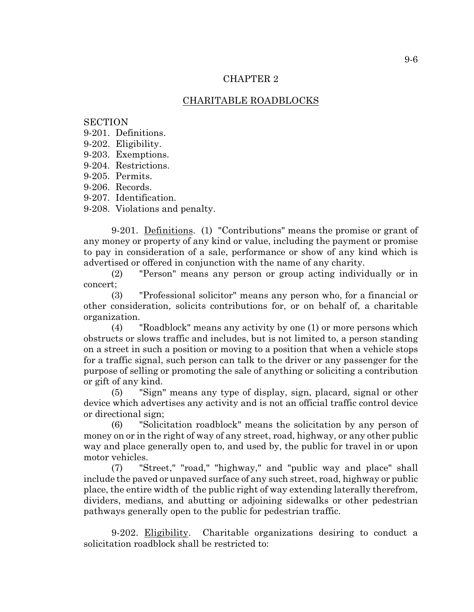#### CHAPTER 2

# CHARITABLE ROADBLOCKS

#### **SECTION**

9-201. Definitions.

- 9-202. Eligibility.
- 9-203. Exemptions.
- 9-204. Restrictions.
- 9-205. Permits.
- 9-206. Records.
- 9-207. Identification.

9-208. Violations and penalty.

9-201. Definitions. (1) "Contributions" means the promise or grant of any money or property of any kind or value, including the payment or promise to pay in consideration of a sale, performance or show of any kind which is advertised or offered in conjunction with the name of any charity.

(2) "Person" means any person or group acting individually or in concert;

(3) "Professional solicitor" means any person who, for a financial or other consideration, solicits contributions for, or on behalf of, a charitable organization.

(4) "Roadblock" means any activity by one (1) or more persons which obstructs or slows traffic and includes, but is not limited to, a person standing on a street in such a position or moving to a position that when a vehicle stops for a traffic signal, such person can talk to the driver or any passenger for the purpose of selling or promoting the sale of anything or soliciting a contribution or gift of any kind.

(5) "Sign" means any type of display, sign, placard, signal or other device which advertises any activity and is not an official traffic control device or directional sign;

(6) "Solicitation roadblock" means the solicitation by any person of money on or in the right of way of any street, road, highway, or any other public way and place generally open to, and used by, the public for travel in or upon motor vehicles.

(7) "Street," "road," "highway," and "public way and place" shall include the paved or unpaved surface of any such street, road, highway or public place, the entire width of the public right of way extending laterally therefrom, dividers, medians, and abutting or adjoining sidewalks or other pedestrian pathways generally open to the public for pedestrian traffic.

9-202. Eligibility. Charitable organizations desiring to conduct a solicitation roadblock shall be restricted to: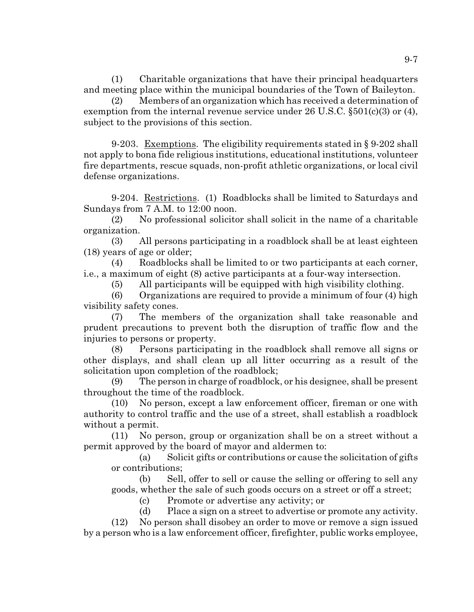(1) Charitable organizations that have their principal headquarters and meeting place within the municipal boundaries of the Town of Baileyton.

(2) Members of an organization which has received a determination of exemption from the internal revenue service under 26 U.S.C.  $\S501(c)(3)$  or (4), subject to the provisions of this section.

9-203. Exemptions. The eligibility requirements stated in § 9-202 shall not apply to bona fide religious institutions, educational institutions, volunteer fire departments, rescue squads, non-profit athletic organizations, or local civil defense organizations.

9-204. Restrictions. (1) Roadblocks shall be limited to Saturdays and Sundays from 7 A.M. to 12:00 noon.

(2) No professional solicitor shall solicit in the name of a charitable organization.

(3) All persons participating in a roadblock shall be at least eighteen (18) years of age or older;

(4) Roadblocks shall be limited to or two participants at each corner, i.e., a maximum of eight (8) active participants at a four-way intersection.

(5) All participants will be equipped with high visibility clothing.

(6) Organizations are required to provide a minimum of four (4) high visibility safety cones.

(7) The members of the organization shall take reasonable and prudent precautions to prevent both the disruption of traffic flow and the injuries to persons or property.

(8) Persons participating in the roadblock shall remove all signs or other displays, and shall clean up all litter occurring as a result of the solicitation upon completion of the roadblock;

(9) The person in charge of roadblock, or his designee, shall be present throughout the time of the roadblock.

(10) No person, except a law enforcement officer, fireman or one with authority to control traffic and the use of a street, shall establish a roadblock without a permit.

(11) No person, group or organization shall be on a street without a permit approved by the board of mayor and aldermen to:

(a) Solicit gifts or contributions or cause the solicitation of gifts or contributions;

(b) Sell, offer to sell or cause the selling or offering to sell any goods, whether the sale of such goods occurs on a street or off a street;

(c) Promote or advertise any activity; or

(d) Place a sign on a street to advertise or promote any activity. (12) No person shall disobey an order to move or remove a sign issued by a person who is a law enforcement officer, firefighter, public works employee,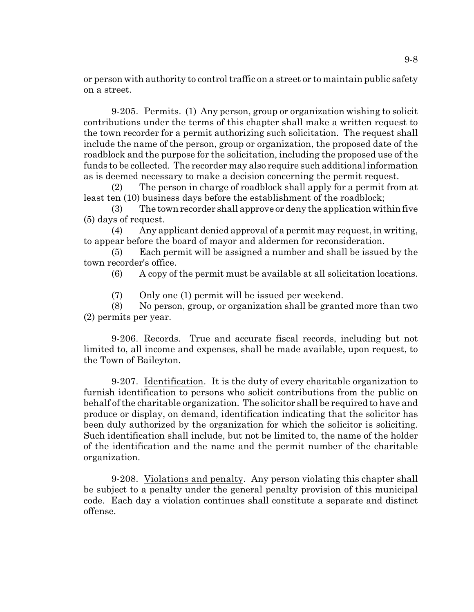or person with authority to control traffic on a street or to maintain public safety on a street.

9-205. Permits. (1) Any person, group or organization wishing to solicit contributions under the terms of this chapter shall make a written request to the town recorder for a permit authorizing such solicitation. The request shall include the name of the person, group or organization, the proposed date of the roadblock and the purpose for the solicitation, including the proposed use of the funds to be collected. The recorder may also require such additional information as is deemed necessary to make a decision concerning the permit request.

(2) The person in charge of roadblock shall apply for a permit from at least ten (10) business days before the establishment of the roadblock;

(3) The town recorder shall approve or deny the application within five (5) days of request.

(4) Any applicant denied approval of a permit may request, in writing, to appear before the board of mayor and aldermen for reconsideration.

(5) Each permit will be assigned a number and shall be issued by the town recorder's office.

(6) A copy of the permit must be available at all solicitation locations.

(7) Only one (1) permit will be issued per weekend.

(8) No person, group, or organization shall be granted more than two (2) permits per year.

9-206. Records. True and accurate fiscal records, including but not limited to, all income and expenses, shall be made available, upon request, to the Town of Baileyton.

9-207. Identification. It is the duty of every charitable organization to furnish identification to persons who solicit contributions from the public on behalf of the charitable organization. The solicitor shall be required to have and produce or display, on demand, identification indicating that the solicitor has been duly authorized by the organization for which the solicitor is soliciting. Such identification shall include, but not be limited to, the name of the holder of the identification and the name and the permit number of the charitable organization.

9-208. Violations and penalty. Any person violating this chapter shall be subject to a penalty under the general penalty provision of this municipal code. Each day a violation continues shall constitute a separate and distinct offense.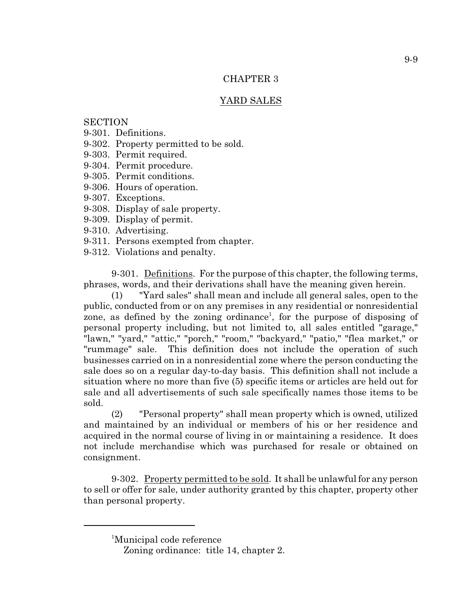#### CHAPTER 3

## YARD SALES

## **SECTION**

- 9-301. Definitions.
- 9-302. Property permitted to be sold.
- 9-303. Permit required.
- 9-304. Permit procedure.
- 9-305. Permit conditions.
- 9-306. Hours of operation.
- 9-307. Exceptions.
- 9-308. Display of sale property.
- 9-309. Display of permit.
- 9-310. Advertising.
- 9-311. Persons exempted from chapter.
- 9-312. Violations and penalty.

9-301. Definitions. For the purpose of this chapter, the following terms, phrases, words, and their derivations shall have the meaning given herein.

(1) "Yard sales" shall mean and include all general sales, open to the public, conducted from or on any premises in any residential or nonresidential zone, as defined by the zoning ordinance<sup>1</sup>, for the purpose of disposing of personal property including, but not limited to, all sales entitled "garage," "lawn," "yard," "attic," "porch," "room," "backyard," "patio," "flea market," or "rummage" sale. This definition does not include the operation of such businesses carried on in a nonresidential zone where the person conducting the sale does so on a regular day-to-day basis. This definition shall not include a situation where no more than five (5) specific items or articles are held out for sale and all advertisements of such sale specifically names those items to be sold.

(2) "Personal property" shall mean property which is owned, utilized and maintained by an individual or members of his or her residence and acquired in the normal course of living in or maintaining a residence. It does not include merchandise which was purchased for resale or obtained on consignment.

9-302. Property permitted to be sold. It shall be unlawful for any person to sell or offer for sale, under authority granted by this chapter, property other than personal property.

<sup>&</sup>lt;sup>1</sup>Municipal code reference

Zoning ordinance: title 14, chapter 2.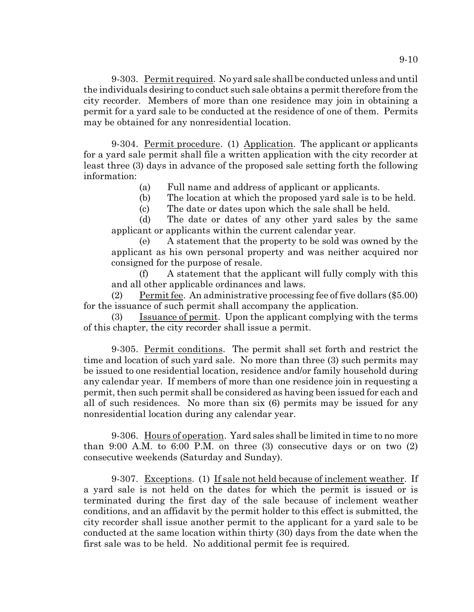9-303. Permit required. No yard sale shall be conducted unless and until the individuals desiring to conduct such sale obtains a permit therefore from the city recorder. Members of more than one residence may join in obtaining a permit for a yard sale to be conducted at the residence of one of them. Permits may be obtained for any nonresidential location.

9-304. Permit procedure. (1) Application. The applicant or applicants for a yard sale permit shall file a written application with the city recorder at least three (3) days in advance of the proposed sale setting forth the following information:

(a) Full name and address of applicant or applicants.

(b) The location at which the proposed yard sale is to be held.

(c) The date or dates upon which the sale shall be held.

(d) The date or dates of any other yard sales by the same applicant or applicants within the current calendar year.

(e) A statement that the property to be sold was owned by the applicant as his own personal property and was neither acquired nor consigned for the purpose of resale.

(f) A statement that the applicant will fully comply with this and all other applicable ordinances and laws.

(2) Permit fee. An administrative processing fee of five dollars (\$5.00) for the issuance of such permit shall accompany the application.

(3) Issuance of permit. Upon the applicant complying with the terms of this chapter, the city recorder shall issue a permit.

9-305. Permit conditions. The permit shall set forth and restrict the time and location of such yard sale. No more than three (3) such permits may be issued to one residential location, residence and/or family household during any calendar year. If members of more than one residence join in requesting a permit, then such permit shall be considered as having been issued for each and all of such residences. No more than six (6) permits may be issued for any nonresidential location during any calendar year.

9-306. Hours of operation. Yard sales shall be limited in time to no more than 9:00 A.M. to 6:00 P.M. on three  $(3)$  consecutive days or on two  $(2)$ consecutive weekends (Saturday and Sunday).

9-307. Exceptions. (1) If sale not held because of inclement weather. If a yard sale is not held on the dates for which the permit is issued or is terminated during the first day of the sale because of inclement weather conditions, and an affidavit by the permit holder to this effect is submitted, the city recorder shall issue another permit to the applicant for a yard sale to be conducted at the same location within thirty (30) days from the date when the first sale was to be held. No additional permit fee is required.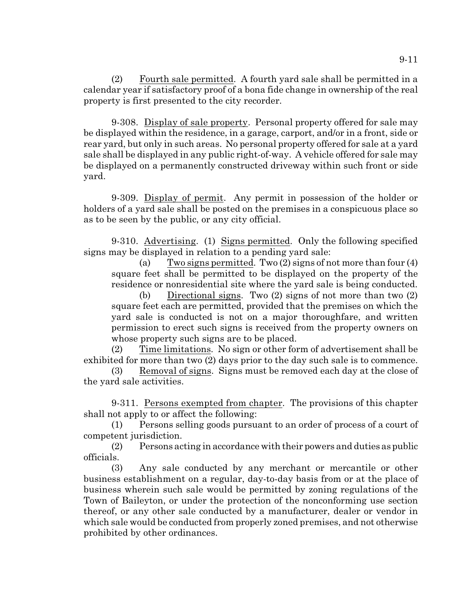(2) Fourth sale permitted. A fourth yard sale shall be permitted in a calendar year if satisfactory proof of a bona fide change in ownership of the real property is first presented to the city recorder.

9-308. Display of sale property. Personal property offered for sale may be displayed within the residence, in a garage, carport, and/or in a front, side or rear yard, but only in such areas. No personal property offered for sale at a yard sale shall be displayed in any public right-of-way. A vehicle offered for sale may be displayed on a permanently constructed driveway within such front or side yard.

9-309. Display of permit. Any permit in possession of the holder or holders of a yard sale shall be posted on the premises in a conspicuous place so as to be seen by the public, or any city official.

9-310. Advertising. (1) Signs permitted. Only the following specified signs may be displayed in relation to a pending yard sale:

(a) Two signs permitted. Two (2) signs of not more than four (4) square feet shall be permitted to be displayed on the property of the residence or nonresidential site where the yard sale is being conducted.

(b) Directional signs. Two (2) signs of not more than two (2) square feet each are permitted, provided that the premises on which the yard sale is conducted is not on a major thoroughfare, and written permission to erect such signs is received from the property owners on whose property such signs are to be placed.

(2) Time limitations. No sign or other form of advertisement shall be exhibited for more than two (2) days prior to the day such sale is to commence.

(3) Removal of signs. Signs must be removed each day at the close of the yard sale activities.

9-311. Persons exempted from chapter. The provisions of this chapter shall not apply to or affect the following:

(1) Persons selling goods pursuant to an order of process of a court of competent jurisdiction.

(2) Persons acting in accordance with their powers and duties as public officials.

(3) Any sale conducted by any merchant or mercantile or other business establishment on a regular, day-to-day basis from or at the place of business wherein such sale would be permitted by zoning regulations of the Town of Baileyton, or under the protection of the nonconforming use section thereof, or any other sale conducted by a manufacturer, dealer or vendor in which sale would be conducted from properly zoned premises, and not otherwise prohibited by other ordinances.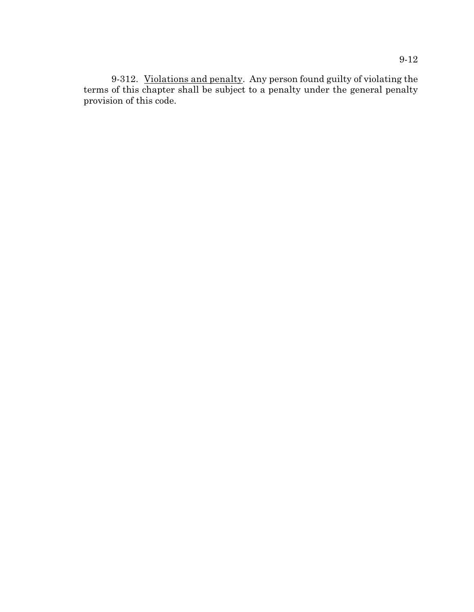9-312. Violations and penalty. Any person found guilty of violating the terms of this chapter shall be subject to a penalty under the general penalty provision of this code.